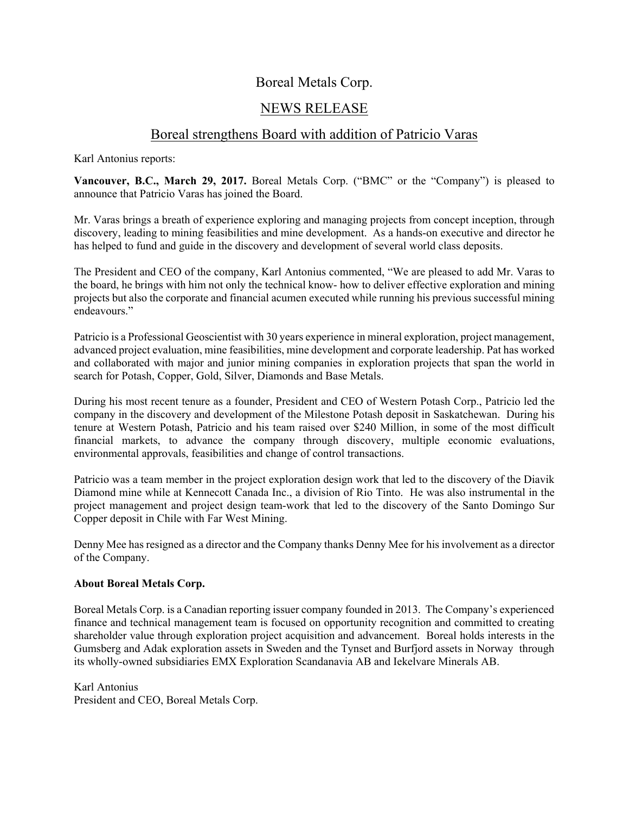## Boreal Metals Corp.

# NEWS RELEASE

### Boreal strengthens Board with addition of Patricio Varas

Karl Antonius reports:

**Vancouver, B.C., March 29, 2017.** Boreal Metals Corp. ("BMC" or the "Company") is pleased to announce that Patricio Varas has joined the Board.

Mr. Varas brings a breath of experience exploring and managing projects from concept inception, through discovery, leading to mining feasibilities and mine development. As a hands-on executive and director he has helped to fund and guide in the discovery and development of several world class deposits.

The President and CEO of the company, Karl Antonius commented, "We are pleased to add Mr. Varas to the board, he brings with him not only the technical know- how to deliver effective exploration and mining projects but also the corporate and financial acumen executed while running his previous successful mining endeavours."

Patricio is a Professional Geoscientist with 30 years experience in mineral exploration, project management, advanced project evaluation, mine feasibilities, mine development and corporate leadership. Pat has worked and collaborated with major and junior mining companies in exploration projects that span the world in search for Potash, Copper, Gold, Silver, Diamonds and Base Metals.

During his most recent tenure as a founder, President and CEO of Western Potash Corp., Patricio led the company in the discovery and development of the Milestone Potash deposit in Saskatchewan. During his tenure at Western Potash, Patricio and his team raised over \$240 Million, in some of the most difficult financial markets, to advance the company through discovery, multiple economic evaluations, environmental approvals, feasibilities and change of control transactions.

Patricio was a team member in the project exploration design work that led to the discovery of the Diavik Diamond mine while at Kennecott Canada Inc., a division of Rio Tinto. He was also instrumental in the project management and project design team-work that led to the discovery of the Santo Domingo Sur Copper deposit in Chile with Far West Mining.

Denny Mee has resigned as a director and the Company thanks Denny Mee for his involvement as a director of the Company.

#### **About Boreal Metals Corp.**

Boreal Metals Corp. is a Canadian reporting issuer company founded in 2013. The Company's experienced finance and technical management team is focused on opportunity recognition and committed to creating shareholder value through exploration project acquisition and advancement. Boreal holds interests in the Gumsberg and Adak exploration assets in Sweden and the Tynset and Burfjord assets in Norway through its wholly-owned subsidiaries EMX Exploration Scandanavia AB and Iekelvare Minerals AB.

Karl Antonius President and CEO, Boreal Metals Corp.